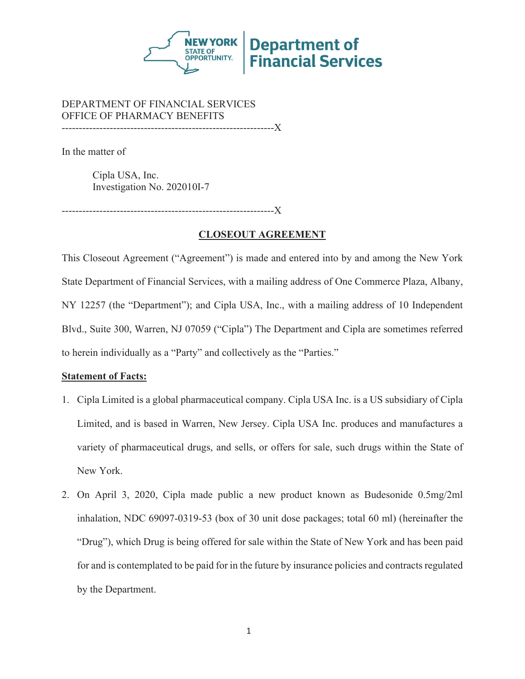

#### DEPARTMENT OF FINANCIAL SERVICES OFFICE OF PHARMACY BENEFITS --------------------------------------------------------------X

In the matter of

Cipla USA, Inc. Investigation No. 202010I-7

.-------------------------X

## **CLOSEOUT AGREEMENT**

This Closeout Agreement ("Agreement") is made and entered into by and among the New York State Department of Financial Services, with a mailing address of One Commerce Plaza, Albany, NY 12257 (the "Department"); and Cipla USA, Inc., with a mailing address of 10 Independent Blvd., Suite 300, Warren, NJ 07059 ("Cipla") The Department and Cipla are sometimes referred to herein individually as a "Party" and collectively as the "Parties."

## **Statement of Facts:**

- 1. Cipla Limited is a global pharmaceutical company. Cipla USA Inc. is a US subsidiary of Cipla Limited, and is based in Warren, New Jersey. Cipla USA Inc. produces and manufactures a variety of pharmaceutical drugs, and sells, or offers for sale, such drugs within the State of New York.
- 2. On April 3, 2020, Cipla made public a new product known as Budesonide 0.5mg/2ml inhalation, NDC 69097-0319-53 (box of 30 unit dose packages; total 60 ml) (hereinafter the "Drug"), which Drug is being offered for sale within the State of New York and has been paid for and is contemplated to be paid for in the future by insurance policies and contracts regulated by the Department.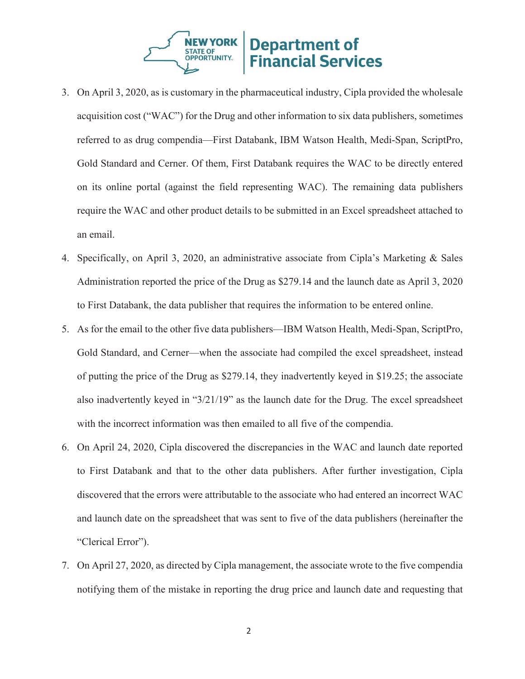

- 3. On April 3, 2020, as is customary in the pharmaceutical industry, Cipla provided the wholesale acquisition cost ("WAC") for the Drug and other information to six data publishers, sometimes referred to as drug compendia—First Databank, IBM Watson Health, Medi-Span, ScriptPro, Gold Standard and Cerner. Of them, First Databank requires the WAC to be directly entered on its online portal (against the field representing WAC). The remaining data publishers require the WAC and other product details to be submitted in an Excel spreadsheet attached to an email.
- 4. Specifically, on April 3, 2020, an administrative associate from Cipla's Marketing & Sales Administration reported the price of the Drug as \$279.14 and the launch date as April 3, 2020 to First Databank, the data publisher that requires the information to be entered online.
- 5. As for the email to the other five data publishers—IBM Watson Health, Medi-Span, ScriptPro, Gold Standard, and Cerner—when the associate had compiled the excel spreadsheet, instead of putting the price of the Drug as \$279.14, they inadvertently keyed in \$19.25; the associate also inadvertently keyed in "3/21/19" as the launch date for the Drug. The excel spreadsheet with the incorrect information was then emailed to all five of the compendia.
- 6. On April 24, 2020, Cipla discovered the discrepancies in the WAC and launch date reported to First Databank and that to the other data publishers. After further investigation, Cipla discovered that the errors were attributable to the associate who had entered an incorrect WAC and launch date on the spreadsheet that was sent to five of the data publishers (hereinafter the "Clerical Error").
- 7. On April 27, 2020, as directed by Cipla management, the associate wrote to the five compendia notifying them of the mistake in reporting the drug price and launch date and requesting that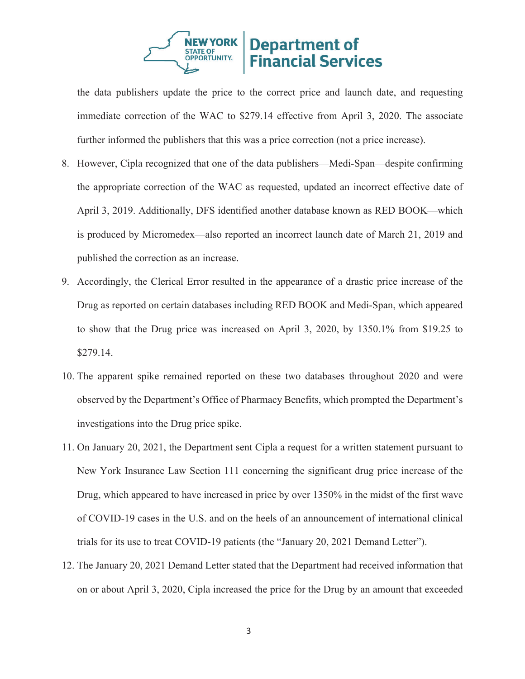

the data publishers update the price to the correct price and launch date, and requesting immediate correction of the WAC to \$279.14 effective from April 3, 2020. The associate further informed the publishers that this was a price correction (not a price increase).

- 8. However, Cipla recognized that one of the data publishers—Medi-Span—despite confirming the appropriate correction of the WAC as requested, updated an incorrect effective date of April 3, 2019. Additionally, DFS identified another database known as RED BOOK—which is produced by Micromedex—also reported an incorrect launch date of March 21, 2019 and published the correction as an increase.
- 9. Accordingly, the Clerical Error resulted in the appearance of a drastic price increase of the Drug as reported on certain databases including RED BOOK and Medi-Span, which appeared to show that the Drug price was increased on April 3, 2020, by 1350.1% from \$19.25 to \$279.14.
- 10. The apparent spike remained reported on these two databases throughout 2020 and were observed by the Department's Office of Pharmacy Benefits, which prompted the Department's investigations into the Drug price spike.
- 11. On January 20, 2021, the Department sent Cipla a request for a written statement pursuant to New York Insurance Law Section 111 concerning the significant drug price increase of the Drug, which appeared to have increased in price by over 1350% in the midst of the first wave of COVID-19 cases in the U.S. and on the heels of an announcement of international clinical trials for its use to treat COVID-19 patients (the "January 20, 2021 Demand Letter").
- 12. The January 20, 2021 Demand Letter stated that the Department had received information that on or about April 3, 2020, Cipla increased the price for the Drug by an amount that exceeded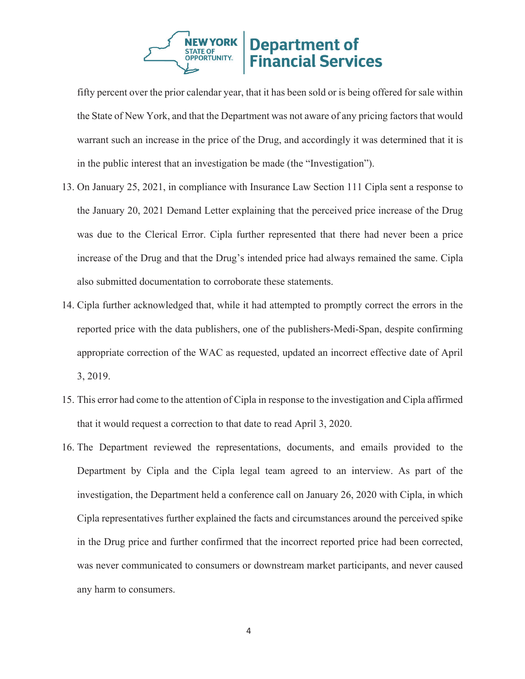

fifty percent over the prior calendar year, that it has been sold or is being offered for sale within the State of New York, and that the Department was not aware of any pricing factors that would warrant such an increase in the price of the Drug, and accordingly it was determined that it is in the public interest that an investigation be made (the "Investigation").

- 13. On January 25, 2021, in compliance with Insurance Law Section 111 Cipla sent a response to the January 20, 2021 Demand Letter explaining that the perceived price increase of the Drug was due to the Clerical Error. Cipla further represented that there had never been a price increase of the Drug and that the Drug's intended price had always remained the same. Cipla also submitted documentation to corroborate these statements.
- 14. Cipla further acknowledged that, while it had attempted to promptly correct the errors in the reported price with the data publishers, one of the publishers-Medi-Span, despite confirming appropriate correction of the WAC as requested, updated an incorrect effective date of April 3, 2019.
- 15. This error had come to the attention of Cipla in response to the investigation and Cipla affirmed that it would request a correction to that date to read April 3, 2020.
- 16. The Department reviewed the representations, documents, and emails provided to the Department by Cipla and the Cipla legal team agreed to an interview. As part of the investigation, the Department held a conference call on January 26, 2020 with Cipla, in which Cipla representatives further explained the facts and circumstances around the perceived spike in the Drug price and further confirmed that the incorrect reported price had been corrected, was never communicated to consumers or downstream market participants, and never caused any harm to consumers.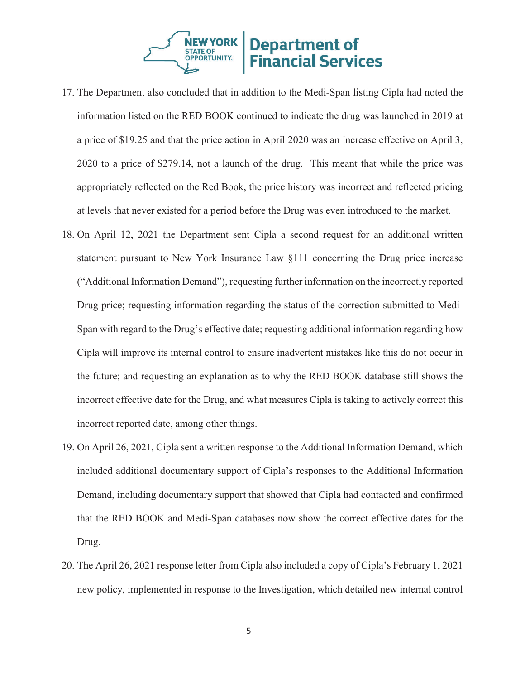

- 17. The Department also concluded that in addition to the Medi-Span listing Cipla had noted the information listed on the RED BOOK continued to indicate the drug was launched in 2019 at a price of \$19.25 and that the price action in April 2020 was an increase effective on April 3, 2020 to a price of \$279.14, not a launch of the drug. This meant that while the price was appropriately reflected on the Red Book, the price history was incorrect and reflected pricing at levels that never existed for a period before the Drug was even introduced to the market.
- 18. On April 12, 2021 the Department sent Cipla a second request for an additional written statement pursuant to New York Insurance Law §111 concerning the Drug price increase ("Additional Information Demand"), requesting further information on the incorrectly reported Drug price; requesting information regarding the status of the correction submitted to Medi-Span with regard to the Drug's effective date; requesting additional information regarding how Cipla will improve its internal control to ensure inadvertent mistakes like this do not occur in the future; and requesting an explanation as to why the RED BOOK database still shows the incorrect effective date for the Drug, and what measures Cipla is taking to actively correct this incorrect reported date, among other things.
- 19. On April 26, 2021, Cipla sent a written response to the Additional Information Demand, which included additional documentary support of Cipla's responses to the Additional Information Demand, including documentary support that showed that Cipla had contacted and confirmed that the RED BOOK and Medi-Span databases now show the correct effective dates for the Drug.
- 20. The April 26, 2021 response letter from Cipla also included a copy of Cipla's February 1, 2021 new policy, implemented in response to the Investigation, which detailed new internal control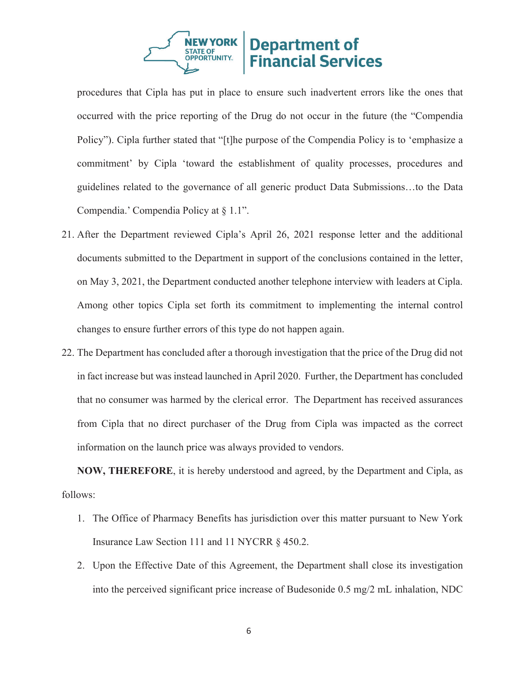

procedures that Cipla has put in place to ensure such inadvertent errors like the ones that occurred with the price reporting of the Drug do not occur in the future (the "Compendia Policy"). Cipla further stated that "[t]he purpose of the Compendia Policy is to 'emphasize a commitment' by Cipla 'toward the establishment of quality processes, procedures and guidelines related to the governance of all generic product Data Submissions…to the Data Compendia.' Compendia Policy at § 1.1".

- 21. After the Department reviewed Cipla's April 26, 2021 response letter and the additional documents submitted to the Department in support of the conclusions contained in the letter, on May 3, 2021, the Department conducted another telephone interview with leaders at Cipla. Among other topics Cipla set forth its commitment to implementing the internal control changes to ensure further errors of this type do not happen again.
- 22. The Department has concluded after a thorough investigation that the price of the Drug did not in fact increase but was instead launched in April 2020. Further, the Department has concluded that no consumer was harmed by the clerical error. The Department has received assurances from Cipla that no direct purchaser of the Drug from Cipla was impacted as the correct information on the launch price was always provided to vendors.

**NOW, THEREFORE**, it is hereby understood and agreed, by the Department and Cipla, as follows:

- 1. The Office of Pharmacy Benefits has jurisdiction over this matter pursuant to New York Insurance Law Section 111 and 11 NYCRR § 450.2.
- 2. Upon the Effective Date of this Agreement, the Department shall close its investigation into the perceived significant price increase of Budesonide 0.5 mg/2 mL inhalation, NDC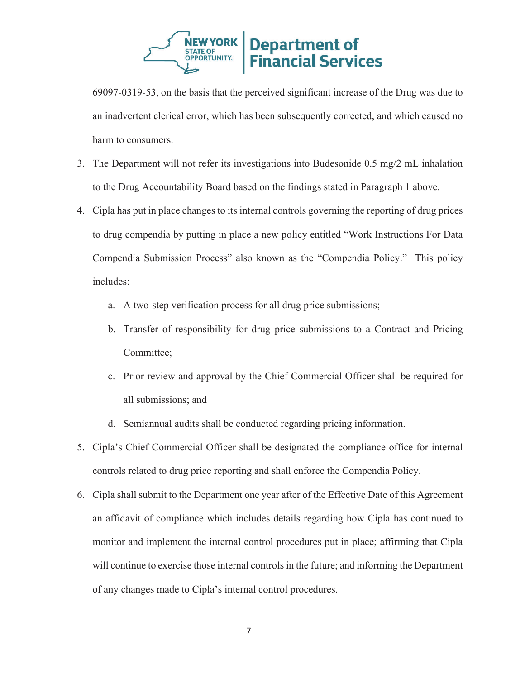

69097-0319-53, on the basis that the perceived significant increase of the Drug was due to an inadvertent clerical error, which has been subsequently corrected, and which caused no harm to consumers.

- 3. The Department will not refer its investigations into Budesonide 0.5 mg/2 mL inhalation to the Drug Accountability Board based on the findings stated in Paragraph 1 above.
- 4. Cipla has put in place changes to its internal controls governing the reporting of drug prices to drug compendia by putting in place a new policy entitled "Work Instructions For Data Compendia Submission Process" also known as the "Compendia Policy." This policy includes:
	- a. A two-step verification process for all drug price submissions;
	- b. Transfer of responsibility for drug price submissions to a Contract and Pricing Committee;
	- c. Prior review and approval by the Chief Commercial Officer shall be required for all submissions; and
	- d. Semiannual audits shall be conducted regarding pricing information.
- 5. Cipla's Chief Commercial Officer shall be designated the compliance office for internal controls related to drug price reporting and shall enforce the Compendia Policy.
- 6. Cipla shall submit to the Department one year after of the Effective Date of this Agreement an affidavit of compliance which includes details regarding how Cipla has continued to monitor and implement the internal control procedures put in place; affirming that Cipla will continue to exercise those internal controls in the future; and informing the Department of any changes made to Cipla's internal control procedures.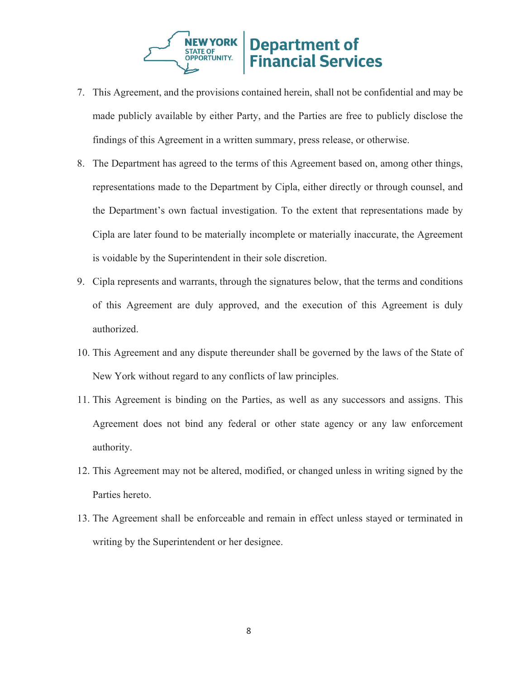

- 7. This Agreement, and the provisions contained herein, shall not be confidential and may be made publicly available by either Party, and the Parties are free to publicly disclose the findings of this Agreement in a written summary, press release, or otherwise.
- 8. The Department has agreed to the terms of this Agreement based on, among other things, representations made to the Department by Cipla, either directly or through counsel, and the Department's own factual investigation. To the extent that representations made by Cipla are later found to be materially incomplete or materially inaccurate, the Agreement is voidable by the Superintendent in their sole discretion.
- 9. Cipla represents and warrants, through the signatures below, that the terms and conditions of this Agreement are duly approved, and the execution of this Agreement is duly authorized.
- 10. This Agreement and any dispute thereunder shall be governed by the laws of the State of New York without regard to any conflicts of law principles.
- 11. This Agreement is binding on the Parties, as well as any successors and assigns. This Agreement does not bind any federal or other state agency or any law enforcement authority.
- 12. This Agreement may not be altered, modified, or changed unless in writing signed by the Parties hereto.
- 13. The Agreement shall be enforceable and remain in effect unless stayed or terminated in writing by the Superintendent or her designee.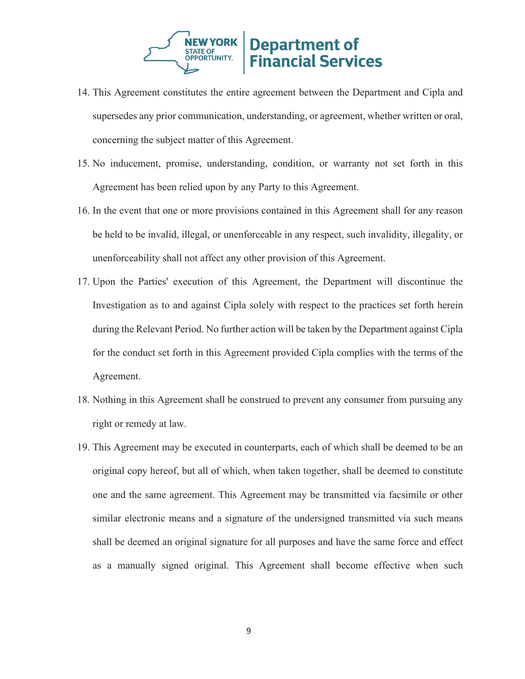

- 14. This Agreement constitutes the entire agreement between the Department and Cipla and supersedes any prior communication, understanding, or agreement, whether written or oral, concerning the subject matter of this Agreement.
- 15. No inducement, promise, understanding, condition, or warranty not set forth in this Agreement has been relied upon by any Party to this Agreement.
- 16. In the event that one or more provisions contained in this Agreement shall for any reason be held to be invalid, illegal, or unenforceable in any respect, such invalidity, illegality, or unenforceability shall not affect any other provision of this Agreement.
- 17. Upon the Parties' execution of this Agreement, the Department will discontinue the Investigation as to and against Cipla solely with respect to the practices set forth herein during the Relevant Period. No further action will be taken by the Department against Cipla for the conduct set forth in this Agreement provided Cipla complies with the terms of the Agreement.
- 18. Nothing in this Agreement shall be construed to prevent any consumer from pursuing any right or remedy at law.
- 19. This Agreement may be executed in counterparts, each of which shall be deemed to be an original copy hereof, but all of which, when taken together, shall be deemed to constitute one and the same agreement. This Agreement may be transmitted via facsimile or other similar electronic means and a signature of the undersigned transmitted via such means shall be deemed an original signature for all purposes and have the same force and effect as a manually signed original. This Agreement shall become effective when such